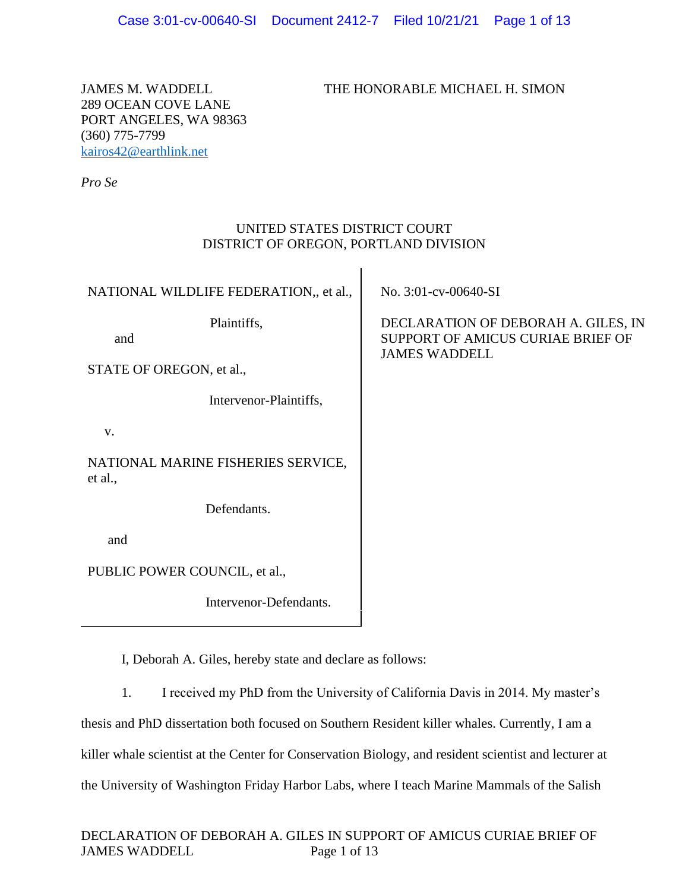JAMES M. WADDELL THE HONORABLE MICHAEL H. SIMON

289 OCEAN COVE LANE PORT ANGELES, WA 98363 (360) 775-7799 [kairos42@earthlink.net](mailto:kairos42@earthlink.net)

*Pro Se*

# UNITED STATES DISTRICT COURT DISTRICT OF OREGON, PORTLAND DIVISION

 $\overline{1}$ 

| NATIONAL WILDLIFE FEDERATION,, et al.,        | No. 3:01-cv-00640-SI                                                                             |
|-----------------------------------------------|--------------------------------------------------------------------------------------------------|
| Plaintiffs,<br>and                            | DECLARATION OF DEBORAH A. GILES, IN<br>SUPPORT OF AMICUS CURIAE BRIEF OF<br><b>JAMES WADDELL</b> |
| STATE OF OREGON, et al.,                      |                                                                                                  |
| Intervenor-Plaintiffs,                        |                                                                                                  |
| V.                                            |                                                                                                  |
| NATIONAL MARINE FISHERIES SERVICE,<br>et al., |                                                                                                  |
| Defendants.                                   |                                                                                                  |
| and                                           |                                                                                                  |
| PUBLIC POWER COUNCIL, et al.,                 |                                                                                                  |
| Intervenor-Defendants.                        |                                                                                                  |
|                                               |                                                                                                  |

I, Deborah A. Giles, hereby state and declare as follows:

1. I received my PhD from the University of California Davis in 2014. My master's

thesis and PhD dissertation both focused on Southern Resident killer whales. Currently, I am a

killer whale scientist at the Center for Conservation Biology, and resident scientist and lecturer at

the University of Washington Friday Harbor Labs, where I teach Marine Mammals of the Salish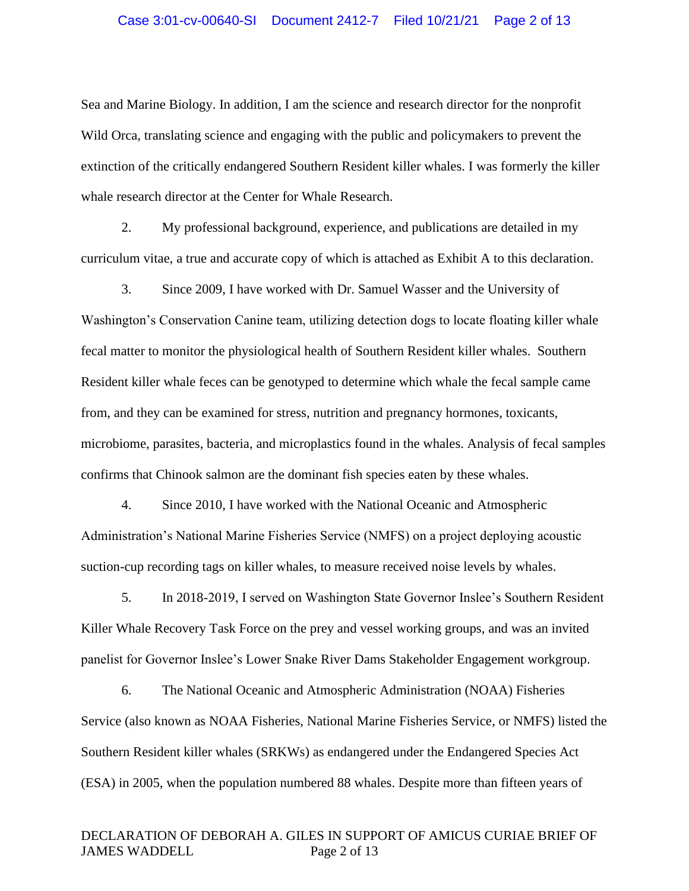#### Case 3:01-cv-00640-SI Document 2412-7 Filed 10/21/21 Page 2 of 13

Sea and Marine Biology. In addition, I am the science and research director for the nonprofit Wild Orca, translating science and engaging with the public and policymakers to prevent the extinction of the critically endangered Southern Resident killer whales. I was formerly the killer whale research director at the Center for Whale Research.

2. My professional background, experience, and publications are detailed in my curriculum vitae, a true and accurate copy of which is attached as Exhibit A to this declaration.

3. Since 2009, I have worked with Dr. Samuel Wasser and the University of Washington's Conservation Canine team, utilizing detection dogs to locate floating killer whale fecal matter to monitor the physiological health of Southern Resident killer whales. Southern Resident killer whale feces can be genotyped to determine which whale the fecal sample came from, and they can be examined for stress, nutrition and pregnancy hormones, toxicants, microbiome, parasites, bacteria, and microplastics found in the whales. Analysis of fecal samples confirms that Chinook salmon are the dominant fish species eaten by these whales.

4. Since 2010, I have worked with the National Oceanic and Atmospheric Administration's National Marine Fisheries Service (NMFS) on a project deploying acoustic suction-cup recording tags on killer whales, to measure received noise levels by whales.

5. In 2018-2019, I served on Washington State Governor Inslee's Southern Resident Killer Whale Recovery Task Force on the prey and vessel working groups, and was an invited panelist for Governor Inslee's Lower Snake River Dams Stakeholder Engagement workgroup.

6. The National Oceanic and Atmospheric Administration (NOAA) Fisheries Service (also known as NOAA Fisheries, National Marine Fisheries Service, or NMFS) listed the Southern Resident killer whales (SRKWs) as endangered under the Endangered Species Act (ESA) in 2005, when the population numbered 88 whales. Despite more than fifteen years of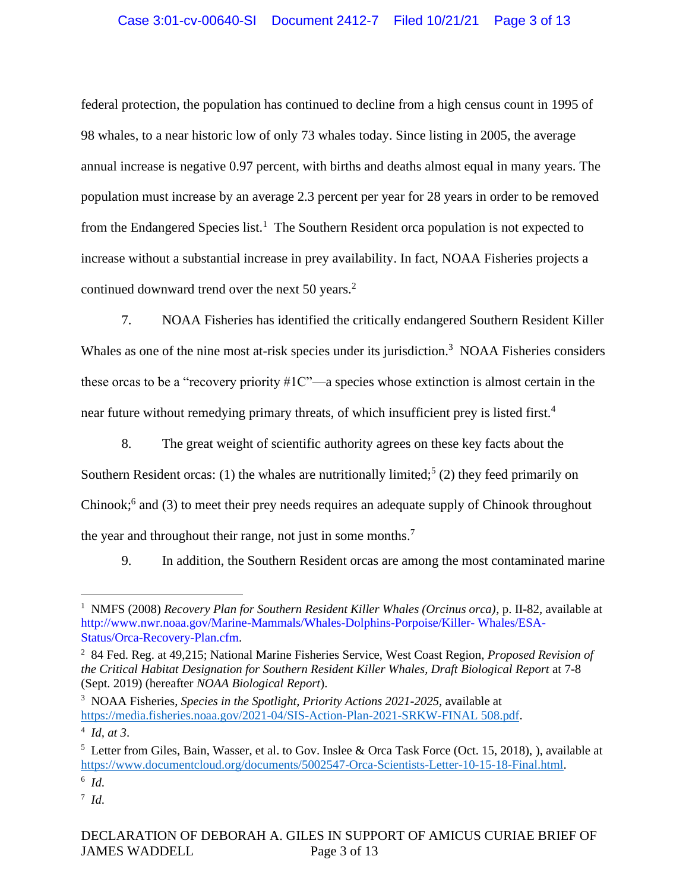# Case 3:01-cv-00640-SI Document 2412-7 Filed 10/21/21 Page 3 of 13

federal protection, the population has continued to decline from a high census count in 1995 of 98 whales, to a near historic low of only 73 whales today. Since listing in 2005, the average annual increase is negative 0.97 percent, with births and deaths almost equal in many years. The population must increase by an average 2.3 percent per year for 28 years in order to be removed from the Endangered Species list.<sup>1</sup> The Southern Resident orca population is not expected to increase without a substantial increase in prey availability. In fact, NOAA Fisheries projects a continued downward trend over the next 50 years.<sup>2</sup>

7. NOAA Fisheries has identified the critically endangered Southern Resident Killer Whales as one of the nine most at-risk species under its jurisdiction.<sup>3</sup> NOAA Fisheries considers these orcas to be a "recovery priority #1C"—a species whose extinction is almost certain in the near future without remedying primary threats, of which insufficient prey is listed first.<sup>4</sup>

8. The great weight of scientific authority agrees on these key facts about the Southern Resident orcas: (1) the whales are nutritionally limited;<sup>5</sup> (2) they feed primarily on Chinook;<sup>6</sup> and (3) to meet their prey needs requires an adequate supply of Chinook throughout the year and throughout their range, not just in some months.<sup>7</sup>

9. In addition, the Southern Resident orcas are among the most contaminated marine

<sup>1</sup> NMFS (2008) *Recovery Plan for Southern Resident Killer Whales (Orcinus orca)*, p. II-82, available at http://www.nwr.noaa.gov/Marine-Mammals/Whales-Dolphins-Porpoise/Killer- Whales/ESA-Status/Orca-Recovery-Plan.cfm.

<sup>2</sup> 84 Fed. Reg. at 49,215; National Marine Fisheries Service, West Coast Region, *Proposed Revision of the Critical Habitat Designation for Southern Resident Killer Whales, Draft Biological Report* at 7-8 (Sept. 2019) (hereafter *NOAA Biological Report*).

<sup>3</sup> NOAA Fisheries, *Species in the Spotlight, Priority Actions 2021-2025*, available at [https://media.fisheries.noaa.gov/2021-04/SIS-Action-Plan-2021-SRKW-FINAL 508.pdf.](https://media.fisheries.noaa.gov/2021-04/SIS-Action-Plan-2021-SRKW-FINAL%20508.pdf)

<sup>4</sup> *Id, at 3*.

<sup>5</sup> Letter from Giles, Bain, Wasser, et al. to Gov. Inslee & Orca Task Force (Oct. 15, 2018), ), available at [https://www.documentcloud.org/documents/5002547-Orca-Scientists-Letter-10-15-18-Final.html.](https://www.documentcloud.org/documents/5002547-Orca-Scientists-Letter-10-15-18-Final.html)

<sup>6</sup> *Id*.

<sup>7</sup> *Id*.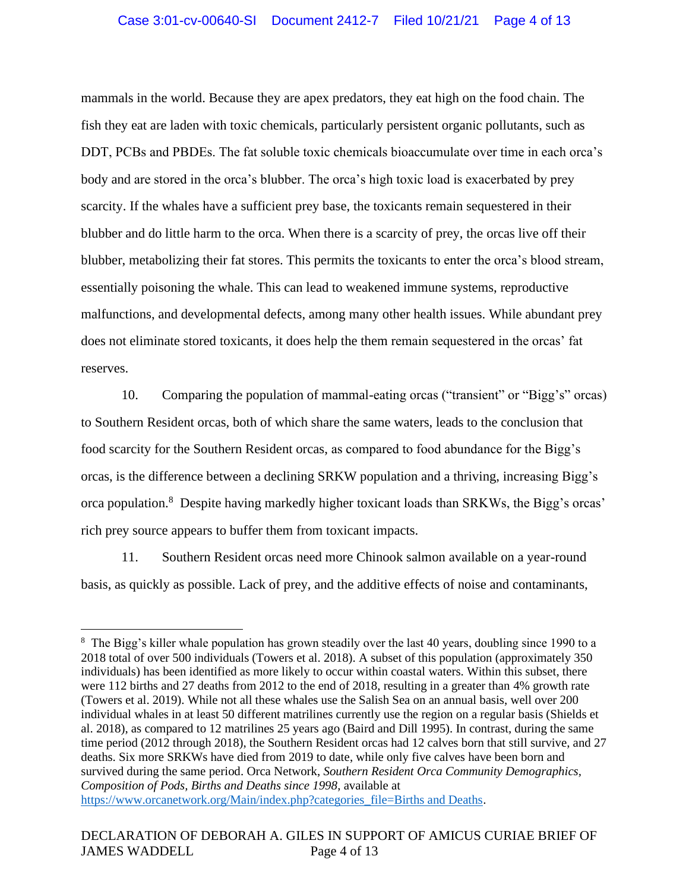mammals in the world. Because they are apex predators, they eat high on the food chain. The fish they eat are laden with toxic chemicals, particularly persistent organic pollutants, such as DDT, PCBs and PBDEs. The fat soluble toxic chemicals bioaccumulate over time in each orca's body and are stored in the orca's blubber. The orca's high toxic load is exacerbated by prey scarcity. If the whales have a sufficient prey base, the toxicants remain sequestered in their blubber and do little harm to the orca. When there is a scarcity of prey, the orcas live off their blubber, metabolizing their fat stores. This permits the toxicants to enter the orca's blood stream, essentially poisoning the whale. This can lead to weakened immune systems, reproductive malfunctions, and developmental defects, among many other health issues. While abundant prey does not eliminate stored toxicants, it does help the them remain sequestered in the orcas' fat reserves.

10. Comparing the population of mammal-eating orcas ("transient" or "Bigg's" orcas) to Southern Resident orcas, both of which share the same waters, leads to the conclusion that food scarcity for the Southern Resident orcas, as compared to food abundance for the Bigg's orcas, is the difference between a declining SRKW population and a thriving, increasing Bigg's orca population.<sup>8</sup> Despite having markedly higher toxicant loads than SRKWs, the Bigg's orcas' rich prey source appears to buffer them from toxicant impacts.

11. Southern Resident orcas need more Chinook salmon available on a year-round basis, as quickly as possible. Lack of prey, and the additive effects of noise and contaminants,

<sup>&</sup>lt;sup>8</sup> The Bigg's killer whale population has grown steadily over the last 40 years, doubling since 1990 to a 2018 total of over 500 individuals (Towers et al. 2018). A subset of this population (approximately 350 individuals) has been identified as more likely to occur within coastal waters. Within this subset, there were 112 births and 27 deaths from 2012 to the end of 2018, resulting in a greater than 4% growth rate (Towers et al. 2019). While not all these whales use the Salish Sea on an annual basis, well over 200 individual whales in at least 50 different matrilines currently use the region on a regular basis (Shields et al. 2018), as compared to 12 matrilines 25 years ago (Baird and Dill 1995). In contrast, during the same time period (2012 through 2018), the Southern Resident orcas had 12 calves born that still survive, and 27 deaths. Six more SRKWs have died from 2019 to date, while only five calves have been born and survived during the same period. Orca Network, *Southern Resident Orca Community Demographics, Composition of Pods, Births and Deaths since 1998*, available at [https://www.orcanetwork.org/Main/index.php?categories\\_file=Births and Deaths.](https://www.orcanetwork.org/Main/index.php?categories_file=Births%20and%20Deaths)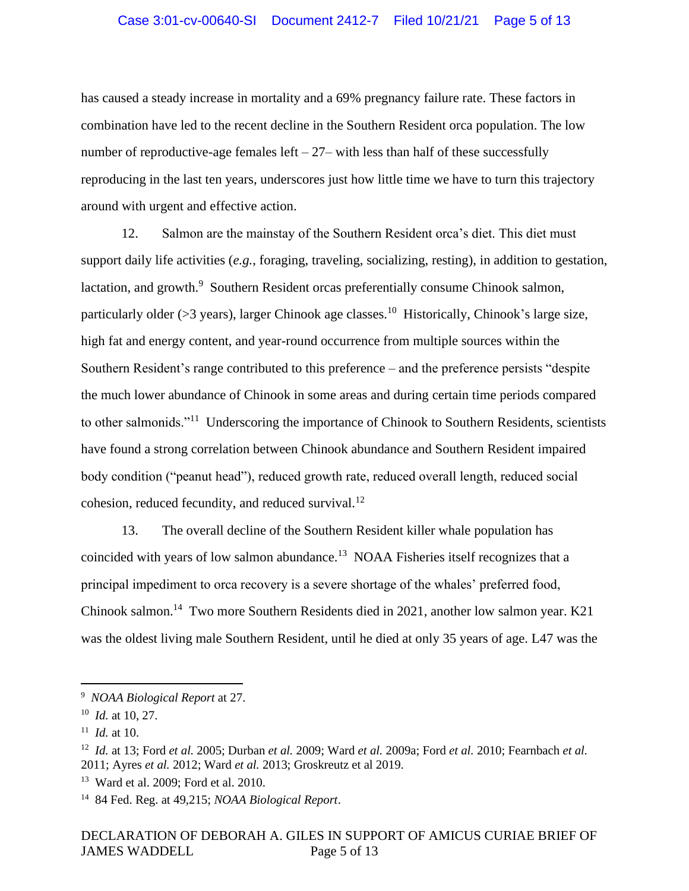#### Case 3:01-cv-00640-SI Document 2412-7 Filed 10/21/21 Page 5 of 13

has caused a steady increase in mortality and a 69% pregnancy failure rate. These factors in combination have led to the recent decline in the Southern Resident orca population. The low number of reproductive-age females left  $-27$ – with less than half of these successfully reproducing in the last ten years, underscores just how little time we have to turn this trajectory around with urgent and effective action.

12. Salmon are the mainstay of the Southern Resident orca's diet. This diet must support daily life activities (*e.g.*, foraging, traveling, socializing, resting), in addition to gestation, lactation, and growth.<sup>9</sup> Southern Resident orcas preferentially consume Chinook salmon, particularly older ( $>3$  years), larger Chinook age classes.<sup>10</sup> Historically, Chinook's large size, high fat and energy content, and year-round occurrence from multiple sources within the Southern Resident's range contributed to this preference – and the preference persists "despite the much lower abundance of Chinook in some areas and during certain time periods compared to other salmonids."<sup>11</sup> Underscoring the importance of Chinook to Southern Residents, scientists have found a strong correlation between Chinook abundance and Southern Resident impaired body condition ("peanut head"), reduced growth rate, reduced overall length, reduced social cohesion, reduced fecundity, and reduced survival.<sup>12</sup>

13. The overall decline of the Southern Resident killer whale population has coincided with years of low salmon abundance.<sup>13</sup> NOAA Fisheries itself recognizes that a principal impediment to orca recovery is a severe shortage of the whales' preferred food, Chinook salmon.<sup>14</sup> Two more Southern Residents died in 2021, another low salmon year. K21 was the oldest living male Southern Resident, until he died at only 35 years of age. L47 was the

<sup>9</sup> *NOAA Biological Report* at 27.

<sup>10</sup> *Id.* at 10, 27.

<sup>11</sup> *Id.* at 10.

<sup>12</sup> *Id.* at 13; Ford *et al.* 2005; Durban *et al.* 2009; Ward *et al.* 2009a; Ford *et al.* 2010; Fearnbach *et al.*  2011; Ayres *et al.* 2012; Ward *et al.* 2013; Groskreutz et al 2019.

<sup>13</sup> Ward et al. 2009; Ford et al. 2010.

<sup>14</sup> 84 Fed. Reg. at 49,215; *NOAA Biological Report*.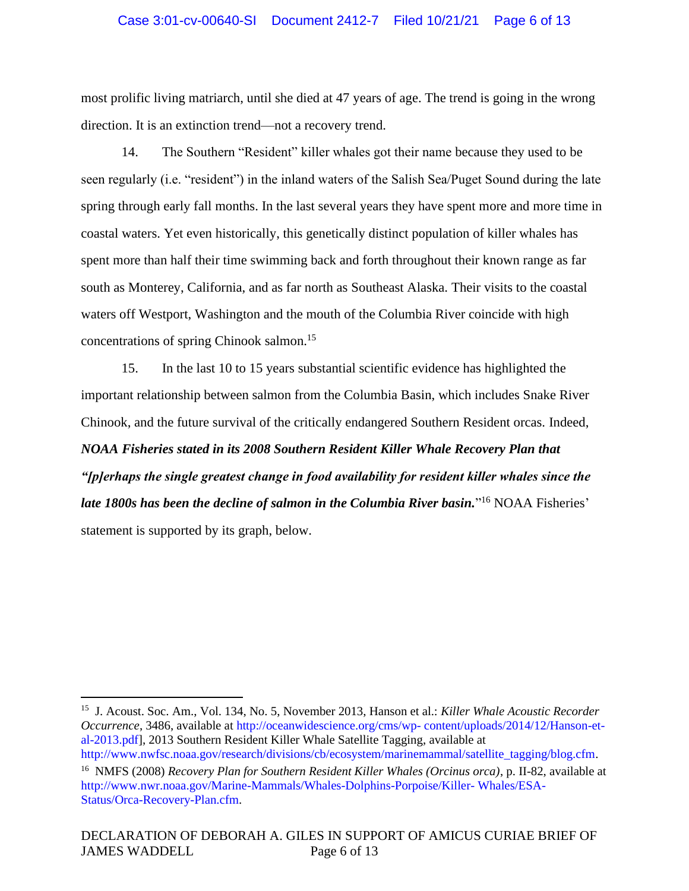## Case 3:01-cv-00640-SI Document 2412-7 Filed 10/21/21 Page 6 of 13

most prolific living matriarch, until she died at 47 years of age. The trend is going in the wrong direction. It is an extinction trend—not a recovery trend.

14. The Southern "Resident" killer whales got their name because they used to be seen regularly (i.e. "resident") in the inland waters of the Salish Sea/Puget Sound during the late spring through early fall months. In the last several years they have spent more and more time in coastal waters. Yet even historically, this genetically distinct population of killer whales has spent more than half their time swimming back and forth throughout their known range as far south as Monterey, California, and as far north as Southeast Alaska. Their visits to the coastal waters off Westport, Washington and the mouth of the Columbia River coincide with high concentrations of spring Chinook salmon.<sup>15</sup>

15. In the last 10 to 15 years substantial scientific evidence has highlighted the important relationship between salmon from the Columbia Basin, which includes Snake River Chinook, and the future survival of the critically endangered Southern Resident orcas. Indeed, *NOAA Fisheries stated in its 2008 Southern Resident Killer Whale Recovery Plan that "[p]erhaps the single greatest change in food availability for resident killer whales since the*  late 1800s has been the decline of salmon in the Columbia River basin."<sup>16</sup> NOAA Fisheries' statement is supported by its graph, below.

<sup>15</sup> J. Acoust. Soc. Am., Vol. 134, No. 5, November 2013, Hanson et al.: *Killer Whale Acoustic Recorder Occurrence*, 3486, available at http://oceanwidescience.org/cms/wp- content/uploads/2014/12/Hanson-etal-2013.pdf], 2013 Southern Resident Killer Whale Satellite Tagging, available at http://www.nwfsc.noaa.gov/research/divisions/cb/ecosystem/marinemammal/satellite\_tagging/blog.cfm.

<sup>16</sup> NMFS (2008) *Recovery Plan for Southern Resident Killer Whales (Orcinus orca)*, p. II-82, available at http://www.nwr.noaa.gov/Marine-Mammals/Whales-Dolphins-Porpoise/Killer- Whales/ESA-Status/Orca-Recovery-Plan.cfm.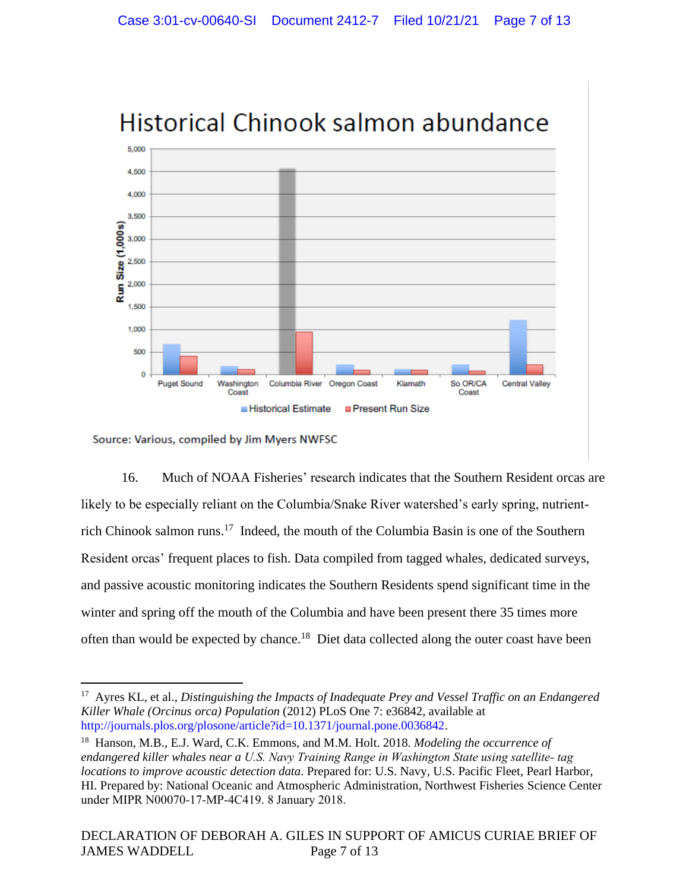

# Historical Chinook salmon abundance

Source: Various, compiled by Jim Myers NWFSC

16. Much of NOAA Fisheries' research indicates that the Southern Resident orcas are likely to be especially reliant on the Columbia/Snake River watershed's early spring, nutrientrich Chinook salmon runs.<sup>17</sup> Indeed, the mouth of the Columbia Basin is one of the Southern Resident orcas' frequent places to fish. Data compiled from tagged whales, dedicated surveys, and passive acoustic monitoring indicates the Southern Residents spend significant time in the winter and spring off the mouth of the Columbia and have been present there 35 times more often than would be expected by chance.<sup>18</sup> Diet data collected along the outer coast have been

<sup>&</sup>lt;sup>17</sup> Ayres KL, et al., *Distinguishing the Impacts of Inadequate Prey and Vessel Traffic on an Endangered Killer Whale (Orcinus orca) Population* (2012) PLoS One 7: e36842, available at http://journals.plos.org/plosone/article?id=10.1371/journal.pone.0036842.

<sup>18</sup> Hanson, M.B., E.J. Ward, C.K. Emmons, and M.M. Holt. 2018. *Modeling the occurrence of endangered killer whales near a U.S. Navy Training Range in Washington State using satellite‐ tag locations to improve acoustic detection data*. Prepared for: U.S. Navy, U.S. Pacific Fleet, Pearl Harbor, HI. Prepared by: National Oceanic and Atmospheric Administration, Northwest Fisheries Science Center under MIPR N00070‐17‐MP‐4C419. 8 January 2018.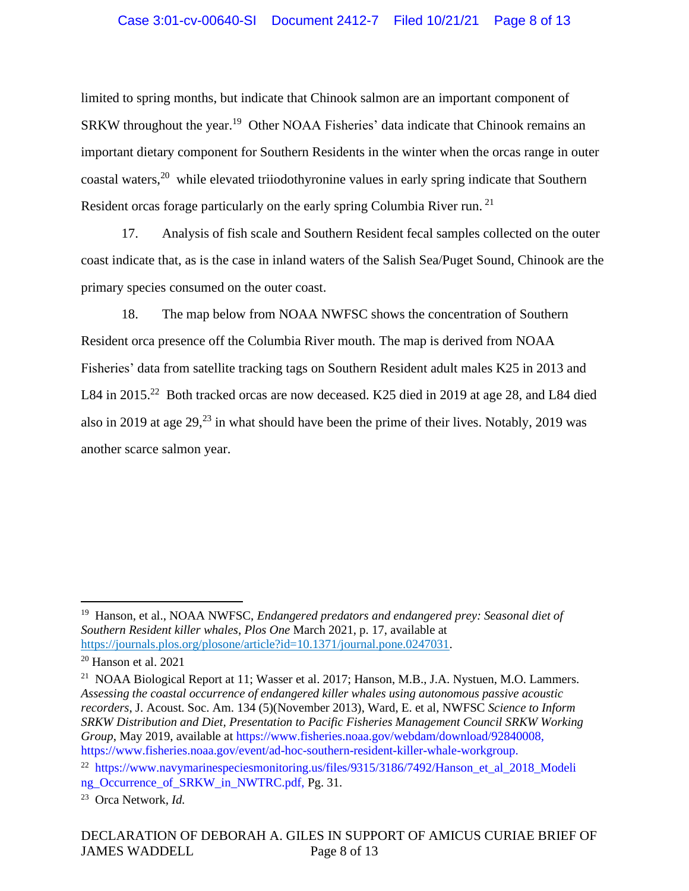## Case 3:01-cv-00640-SI Document 2412-7 Filed 10/21/21 Page 8 of 13

limited to spring months, but indicate that Chinook salmon are an important component of SRKW throughout the year.<sup>19</sup> Other NOAA Fisheries' data indicate that Chinook remains an important dietary component for Southern Residents in the winter when the orcas range in outer coastal waters,<sup>20</sup> while elevated triiodothyronine values in early spring indicate that Southern Resident orcas forage particularly on the early spring Columbia River run. <sup>21</sup>

17. Analysis of fish scale and Southern Resident fecal samples collected on the outer coast indicate that, as is the case in inland waters of the Salish Sea/Puget Sound, Chinook are the primary species consumed on the outer coast.

18. The map below from NOAA NWFSC shows the concentration of Southern Resident orca presence off the Columbia River mouth. The map is derived from NOAA Fisheries' data from satellite tracking tags on Southern Resident adult males K25 in 2013 and L84 in 2015.<sup>22</sup> Both tracked orcas are now deceased. K25 died in 2019 at age 28, and L84 died also in 2019 at age  $29<sup>23</sup>$  in what should have been the prime of their lives. Notably, 2019 was another scarce salmon year.

<sup>&</sup>lt;sup>19</sup> Hanson, et al., NOAA NWFSC, *Endangered predators and endangered prey: Seasonal diet of Southern Resident killer whales*, *Plos One* March 2021, p. 17, available at [https://journals.plos.org/plosone/article?id=10.1371/journal.pone.0247031.](https://journals.plos.org/plosone/article?id=10.1371/journal.pone.0247031)

<sup>20</sup> Hanson et al. 2021

<sup>&</sup>lt;sup>21</sup> NOAA Biological Report at 11; Wasser et al. 2017; Hanson, M.B., J.A. Nystuen, M.O. Lammers. *Assessing the coastal occurrence of endangered killer whales using autonomous passive acoustic recorders*, J. Acoust. Soc. Am. 134 (5)(November 2013), Ward, E. et al, NWFSC *Science to Inform SRKW Distribution and Diet, Presentation to Pacific Fisheries Management Council SRKW Working Group*, May 2019, available at https://www.fisheries.noaa.gov/webdam/download/92840008, https://www.fisheries.noaa.gov/event/ad-hoc-southern-resident-killer-whale-workgroup.

<sup>&</sup>lt;sup>22</sup> https://www.navymarinespeciesmonitoring.us/files/9315/3186/7492/Hanson\_et\_al\_2018\_Modeli ng\_Occurrence\_of\_SRKW\_in\_NWTRC.pdf, Pg. 31.

<sup>23</sup> Orca Network, *Id.*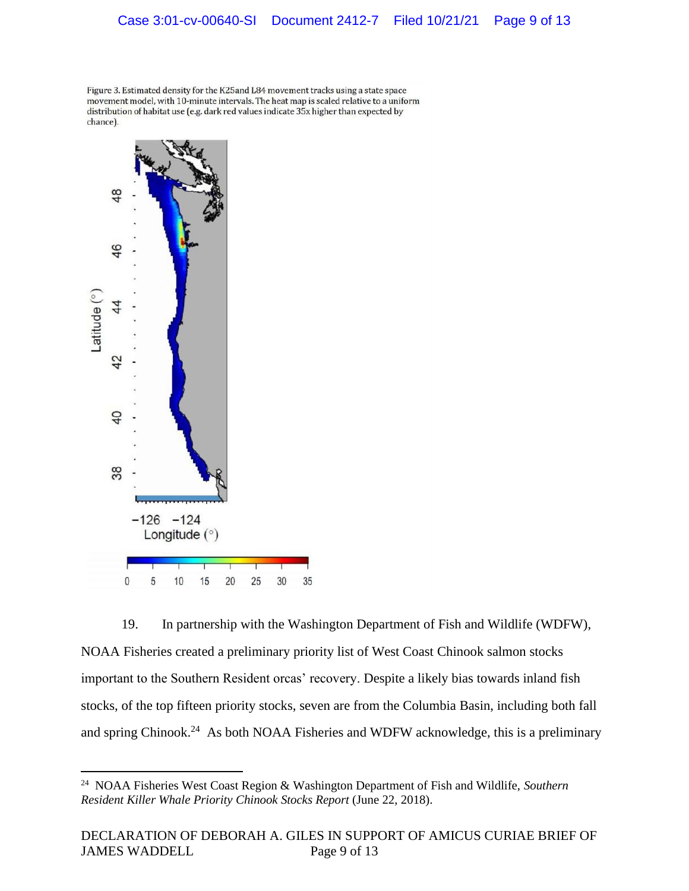Figure 3. Estimated density for the K25and L84 movement tracks using a state space movement model, with 10-minute intervals. The heat map is scaled relative to a uniform distribution of habitat use (e.g. dark red values indicate 35x higher than expected by chance).



19. In partnership with the Washington Department of Fish and Wildlife (WDFW), NOAA Fisheries created a preliminary priority list of West Coast Chinook salmon stocks important to the Southern Resident orcas' recovery. Despite a likely bias towards inland fish stocks, of the top fifteen priority stocks, seven are from the Columbia Basin, including both fall and spring Chinook.<sup>24</sup> As both NOAA Fisheries and WDFW acknowledge, this is a preliminary

<sup>24</sup> NOAA Fisheries West Coast Region & Washington Department of Fish and Wildlife, *Southern Resident Killer Whale Priority Chinook Stocks Report* (June 22, 2018).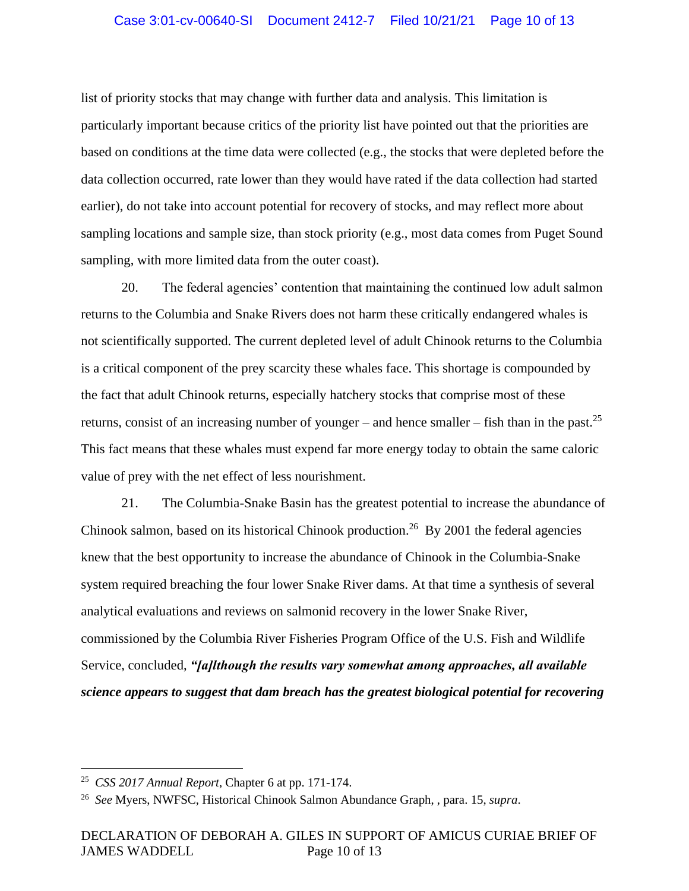#### Case 3:01-cv-00640-SI Document 2412-7 Filed 10/21/21 Page 10 of 13

list of priority stocks that may change with further data and analysis. This limitation is particularly important because critics of the priority list have pointed out that the priorities are based on conditions at the time data were collected (e.g., the stocks that were depleted before the data collection occurred, rate lower than they would have rated if the data collection had started earlier), do not take into account potential for recovery of stocks, and may reflect more about sampling locations and sample size, than stock priority (e.g., most data comes from Puget Sound sampling, with more limited data from the outer coast).

20. The federal agencies' contention that maintaining the continued low adult salmon returns to the Columbia and Snake Rivers does not harm these critically endangered whales is not scientifically supported. The current depleted level of adult Chinook returns to the Columbia is a critical component of the prey scarcity these whales face. This shortage is compounded by the fact that adult Chinook returns, especially hatchery stocks that comprise most of these returns, consist of an increasing number of younger – and hence smaller – fish than in the past.<sup>25</sup> This fact means that these whales must expend far more energy today to obtain the same caloric value of prey with the net effect of less nourishment.

21. The Columbia-Snake Basin has the greatest potential to increase the abundance of Chinook salmon, based on its historical Chinook production.<sup>26</sup> By 2001 the federal agencies knew that the best opportunity to increase the abundance of Chinook in the Columbia-Snake system required breaching the four lower Snake River dams. At that time a synthesis of several analytical evaluations and reviews on salmonid recovery in the lower Snake River, commissioned by the Columbia River Fisheries Program Office of the U.S. Fish and Wildlife Service, concluded, *"[a]lthough the results vary somewhat among approaches, all available science appears to suggest that dam breach has the greatest biological potential for recovering* 

<sup>25</sup> *CSS 2017 Annual Report*, Chapter 6 at pp. 171-174.

<sup>26</sup> *See* Myers, NWFSC, Historical Chinook Salmon Abundance Graph, , para. 15, *supra*.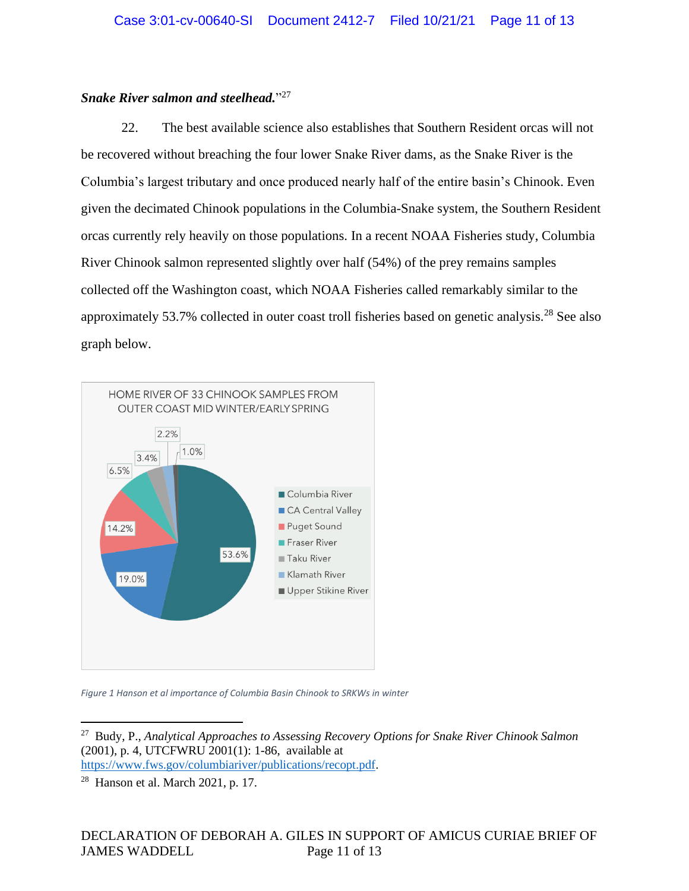# *Snake River salmon and steelhead.*" 27

22. The best available science also establishes that Southern Resident orcas will not be recovered without breaching the four lower Snake River dams, as the Snake River is the Columbia's largest tributary and once produced nearly half of the entire basin's Chinook. Even given the decimated Chinook populations in the Columbia-Snake system, the Southern Resident orcas currently rely heavily on those populations. In a recent NOAA Fisheries study, Columbia River Chinook salmon represented slightly over half (54%) of the prey remains samples collected off the Washington coast, which NOAA Fisheries called remarkably similar to the approximately 53.7% collected in outer coast troll fisheries based on genetic analysis.<sup>28</sup> See also graph below.



*Figure 1 Hanson et al importance of Columbia Basin Chinook to SRKWs in winter*

<sup>27</sup> Budy, P., *Analytical Approaches to Assessing Recovery Options for Snake River Chinook Salmon* (2001), p. 4, UTCFWRU 2001(1): 1-86, available at [https://www.fws.gov/columbiariver/publications/recopt.pdf.](https://www.fws.gov/columbiariver/publications/recopt.pdf)

<sup>28</sup> Hanson et al. March 2021, p. 17.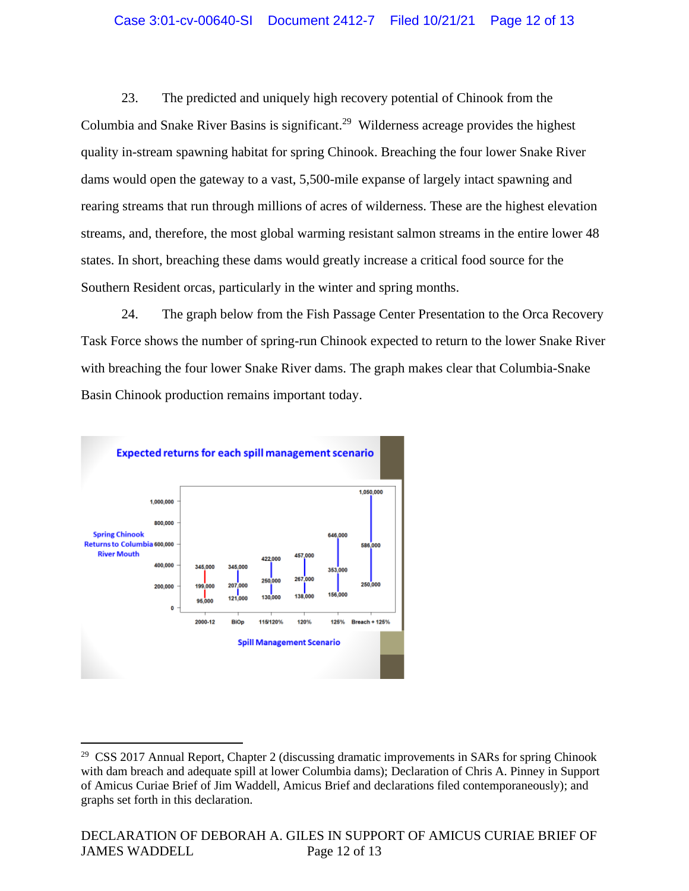## Case 3:01-cv-00640-SI Document 2412-7 Filed 10/21/21 Page 12 of 13

23. The predicted and uniquely high recovery potential of Chinook from the Columbia and Snake River Basins is significant.<sup>29</sup> Wilderness acreage provides the highest quality in-stream spawning habitat for spring Chinook. Breaching the four lower Snake River dams would open the gateway to a vast, 5,500-mile expanse of largely intact spawning and rearing streams that run through millions of acres of wilderness. These are the highest elevation streams, and, therefore, the most global warming resistant salmon streams in the entire lower 48 states. In short, breaching these dams would greatly increase a critical food source for the Southern Resident orcas, particularly in the winter and spring months.

24. The graph below from the Fish Passage Center Presentation to the Orca Recovery Task Force shows the number of spring-run Chinook expected to return to the lower Snake River with breaching the four lower Snake River dams. The graph makes clear that Columbia-Snake Basin Chinook production remains important today.



<sup>&</sup>lt;sup>29</sup> CSS 2017 Annual Report, Chapter 2 (discussing dramatic improvements in SARs for spring Chinook with dam breach and adequate spill at lower Columbia dams); Declaration of Chris A. Pinney in Support of Amicus Curiae Brief of Jim Waddell, Amicus Brief and declarations filed contemporaneously); and graphs set forth in this declaration.